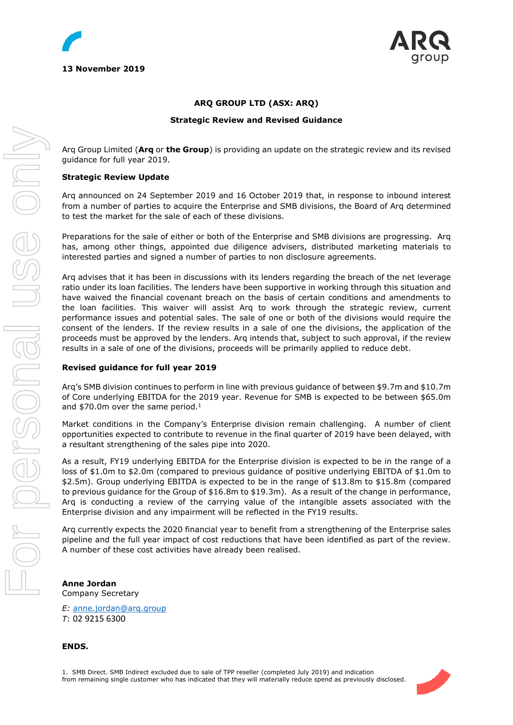

# **ARQ GROUP LTD (ASX: ARQ)**

#### **Strategic Review and Revised Guidance**

Arq Group Limited (**Arq** or **the Group**) is providing an update on the strategic review and its revised guidance for full year 2019.

#### **Strategic Review Update**

Arq announced on 24 September 2019 and 16 October 2019 that, in response to inbound interest from a number of parties to acquire the Enterprise and SMB divisions, the Board of Arq determined to test the market for the sale of each of these divisions.

Preparations for the sale of either or both of the Enterprise and SMB divisions are progressing. Arq has, among other things, appointed due diligence advisers, distributed marketing materials to interested parties and signed a number of parties to non disclosure agreements.

Arq advises that it has been in discussions with its lenders regarding the breach of the net leverage ratio under its loan facilities. The lenders have been supportive in working through this situation and have waived the financial covenant breach on the basis of certain conditions and amendments to the loan facilities. This waiver will assist Arq to work through the strategic review, current performance issues and potential sales. The sale of one or both of the divisions would require the consent of the lenders. If the review results in a sale of one the divisions, the application of the proceeds must be approved by the lenders. Arq intends that, subject to such approval, if the review results in a sale of one of the divisions, proceeds will be primarily applied to reduce debt.

## **Revised guidance for full year 2019**

Arq's SMB division continues to perform in line with previous guidance of between \$9.7m and \$10.7m of Core underlying EBITDA for the 2019 year. Revenue for SMB is expected to be between \$65.0m and  $$70.0m$  over the same period.<sup>1</sup>

Market conditions in the Company's Enterprise division remain challenging. A number of client opportunities expected to contribute to revenue in the final quarter of 2019 have been delayed, with a resultant strengthening of the sales pipe into 2020.

As a result, FY19 underlying EBITDA for the Enterprise division is expected to be in the range of a loss of \$1.0m to \$2.0m (compared to previous guidance of positive underlying EBITDA of \$1.0m to \$2.5m). Group underlying EBITDA is expected to be in the range of \$13.8m to \$15.8m (compared to previous guidance for the Group of \$16.8m to \$19.3m). As a result of the change in performance, Arq is conducting a review of the carrying value of the intangible assets associated with the Enterprise division and any impairment will be reflected in the FY19 results.

Arq currently expects the 2020 financial year to benefit from a strengthening of the Enterprise sales pipeline and the full year impact of cost reductions that have been identified as part of the review. A number of these cost activities have already been realised.

**Anne Jordan** Company Secretary

*E:* [anne.jordan@arq.group](mailto:anne.jordan@arq.group) *T*: 02 9215 6300

**ENDS.**

For personal use only

r personal use onn

1. SMB Direct. SMB Indirect excluded due to sale of TPP reseller (completed July 2019) and indication from remaining single customer who has indicated that they will materially reduce spend as previously disclosed.